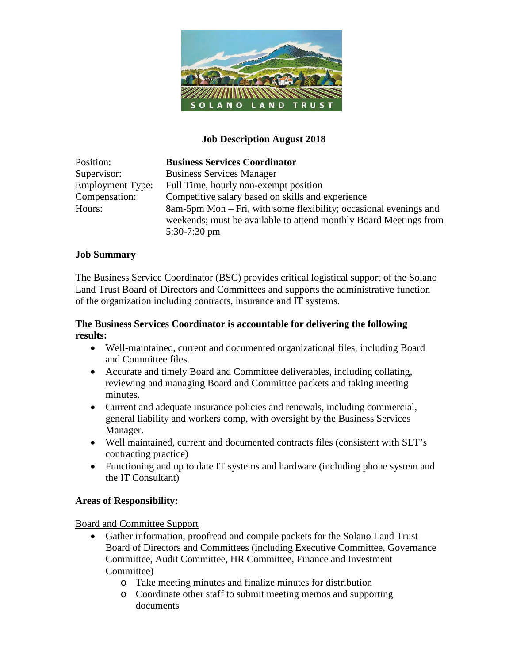

#### **Job Description August 2018**

| Position:               | <b>Business Services Coordinator</b>                              |
|-------------------------|-------------------------------------------------------------------|
| Supervisor:             | <b>Business Services Manager</b>                                  |
| <b>Employment Type:</b> | Full Time, hourly non-exempt position                             |
| Compensation:           | Competitive salary based on skills and experience                 |
| Hours:                  | 8am-5pm Mon – Fri, with some flexibility; occasional evenings and |
|                         | weekends; must be available to attend monthly Board Meetings from |
|                         | $5:30-7:30$ pm                                                    |

#### **Job Summary**

The Business Service Coordinator (BSC) provides critical logistical support of the Solano Land Trust Board of Directors and Committees and supports the administrative function of the organization including contracts, insurance and IT systems.

#### **The Business Services Coordinator is accountable for delivering the following results:**

- Well-maintained, current and documented organizational files, including Board and Committee files.
- Accurate and timely Board and Committee deliverables, including collating, reviewing and managing Board and Committee packets and taking meeting minutes.
- Current and adequate insurance policies and renewals, including commercial, general liability and workers comp, with oversight by the Business Services Manager.
- Well maintained, current and documented contracts files (consistent with SLT's contracting practice)
- Functioning and up to date IT systems and hardware (including phone system and the IT Consultant)

#### **Areas of Responsibility:**

Board and Committee Support

- Gather information, proofread and compile packets for the Solano Land Trust Board of Directors and Committees (including Executive Committee, Governance Committee, Audit Committee, HR Committee, Finance and Investment Committee)
	- o Take meeting minutes and finalize minutes for distribution
	- o Coordinate other staff to submit meeting memos and supporting documents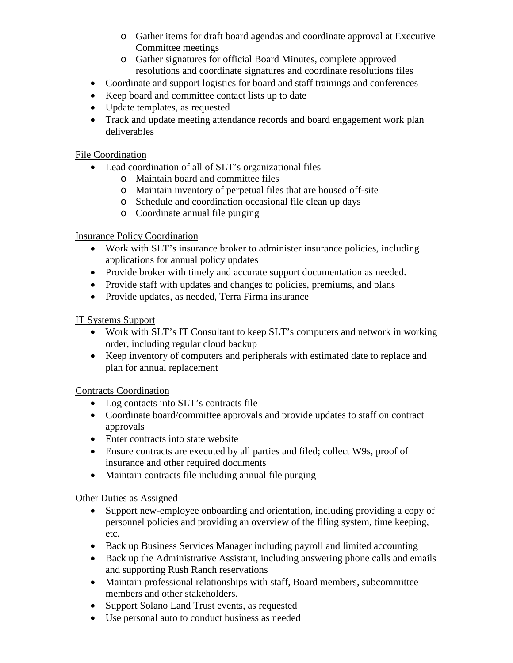- o Gather items for draft board agendas and coordinate approval at Executive Committee meetings
- o Gather signatures for official Board Minutes, complete approved resolutions and coordinate signatures and coordinate resolutions files
- Coordinate and support logistics for board and staff trainings and conferences
- Keep board and committee contact lists up to date
- Update templates, as requested
- Track and update meeting attendance records and board engagement work plan deliverables

#### File Coordination

- Lead coordination of all of SLT's organizational files
	- o Maintain board and committee files
	- o Maintain inventory of perpetual files that are housed off-site
	- o Schedule and coordination occasional file clean up days
	- o Coordinate annual file purging

## Insurance Policy Coordination

- Work with SLT's insurance broker to administer insurance policies, including applications for annual policy updates
- Provide broker with timely and accurate support documentation as needed.
- Provide staff with updates and changes to policies, premiums, and plans
- Provide updates, as needed, Terra Firma insurance

## IT Systems Support

- Work with SLT's IT Consultant to keep SLT's computers and network in working order, including regular cloud backup
- Keep inventory of computers and peripherals with estimated date to replace and plan for annual replacement

## Contracts Coordination

- Log contacts into SLT's contracts file
- Coordinate board/committee approvals and provide updates to staff on contract approvals
- Enter contracts into state website
- Ensure contracts are executed by all parties and filed; collect W9s, proof of insurance and other required documents
- Maintain contracts file including annual file purging

## Other Duties as Assigned

- Support new-employee onboarding and orientation, including providing a copy of personnel policies and providing an overview of the filing system, time keeping, etc.
- Back up Business Services Manager including payroll and limited accounting
- Back up the Administrative Assistant, including answering phone calls and emails and supporting Rush Ranch reservations
- Maintain professional relationships with staff, Board members, subcommittee members and other stakeholders.
- Support Solano Land Trust events, as requested
- Use personal auto to conduct business as needed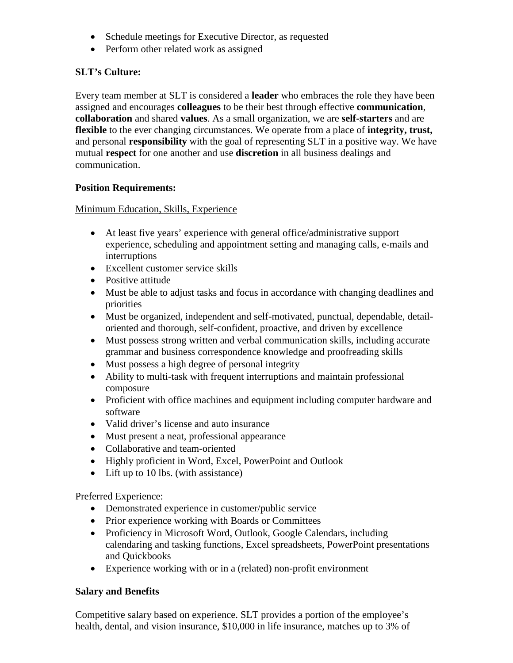- Schedule meetings for Executive Director, as requested
- Perform other related work as assigned

## **SLT's Culture:**

Every team member at SLT is considered a **leader** who embraces the role they have been assigned and encourages **colleagues** to be their best through effective **communication**, **collaboration** and shared **values**. As a small organization, we are **self-starters** and are **flexible** to the ever changing circumstances. We operate from a place of **integrity, trust,** and personal **responsibility** with the goal of representing SLT in a positive way. We have mutual **respect** for one another and use **discretion** in all business dealings and communication.

## **Position Requirements:**

Minimum Education, Skills, Experience

- At least five years' experience with general office/administrative support experience, scheduling and appointment setting and managing calls, e-mails and interruptions
- Excellent customer service skills
- Positive attitude
- Must be able to adjust tasks and focus in accordance with changing deadlines and priorities
- Must be organized, independent and self-motivated, punctual, dependable, detailoriented and thorough, self-confident, proactive, and driven by excellence
- Must possess strong written and verbal communication skills, including accurate grammar and business correspondence knowledge and proofreading skills
- Must possess a high degree of personal integrity
- Ability to multi-task with frequent interruptions and maintain professional composure
- Proficient with office machines and equipment including computer hardware and software
- Valid driver's license and auto insurance
- Must present a neat, professional appearance
- Collaborative and team-oriented
- Highly proficient in Word, Excel, PowerPoint and Outlook
- Lift up to 10 lbs. (with assistance)

Preferred Experience:

- Demonstrated experience in customer/public service
- Prior experience working with Boards or Committees
- Proficiency in Microsoft Word, Outlook, Google Calendars, including calendaring and tasking functions, Excel spreadsheets, PowerPoint presentations and Quickbooks
- Experience working with or in a (related) non-profit environment

## **Salary and Benefits**

Competitive salary based on experience. SLT provides a portion of the employee's health, dental, and vision insurance, \$10,000 in life insurance, matches up to 3% of